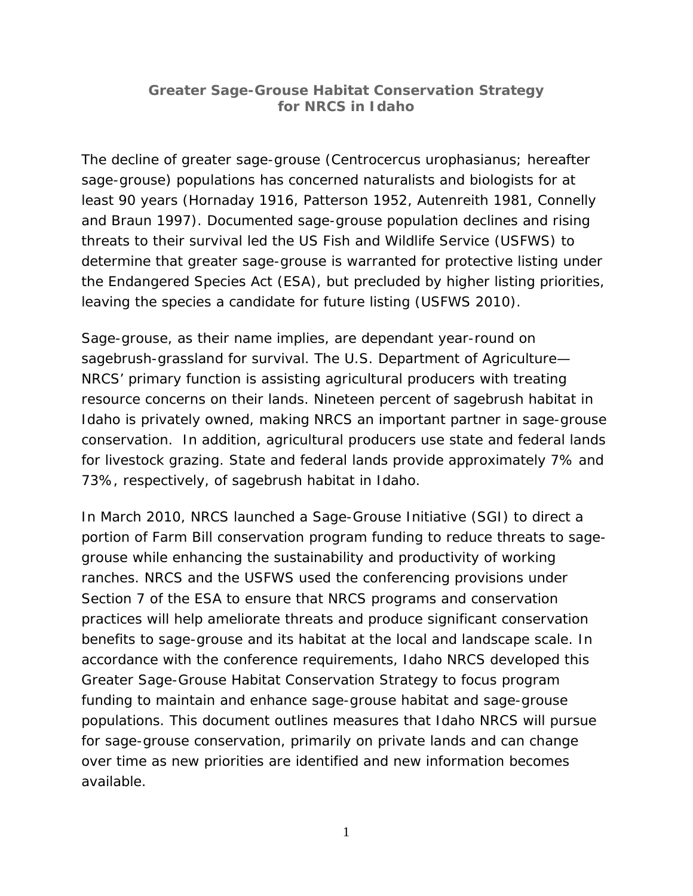# **Greater Sage-Grouse Habitat Conservation Strategy for NRCS in Idaho**

The decline of greater sage-grouse (*Centrocercus urophasianus*; hereafter sage-grouse) populations has concerned naturalists and biologists for at least 90 years (Hornaday 1916, Patterson 1952, Autenreith 1981, Connelly and Braun 1997). Documented sage-grouse population declines and rising threats to their survival led the US Fish and Wildlife Service (USFWS) to determine that greater sage-grouse is warranted for protective listing under the Endangered Species Act (ESA), but precluded by higher listing priorities, leaving the species a candidate for future listing (USFWS 2010).

Sage-grouse, as their name implies, are dependant year-round on sagebrush-grassland for survival. The U.S. Department of Agriculture— NRCS' primary function is assisting agricultural producers with treating resource concerns on their lands. Nineteen percent of sagebrush habitat in Idaho is privately owned, making NRCS an important partner in sage-grouse conservation. In addition, agricultural producers use state and federal lands for livestock grazing. State and federal lands provide approximately 7% and 73%, respectively, of sagebrush habitat in Idaho.

In March 2010, NRCS launched a Sage-Grouse Initiative (SGI) to direct a portion of Farm Bill conservation program funding to reduce threats to sagegrouse while enhancing the sustainability and productivity of working ranches. NRCS and the USFWS used the conferencing provisions under Section 7 of the ESA to ensure that NRCS programs and conservation practices will help ameliorate threats and produce significant conservation benefits to sage-grouse and its habitat at the local and landscape scale. In accordance with the conference requirements, Idaho NRCS developed this *Greater Sage-Grouse Habitat Conservation Strategy* to focus program funding to maintain and enhance sage-grouse habitat and sage-grouse populations. This document outlines measures that Idaho NRCS will pursue for sage-grouse conservation, primarily on private lands and can change over time as new priorities are identified and new information becomes available.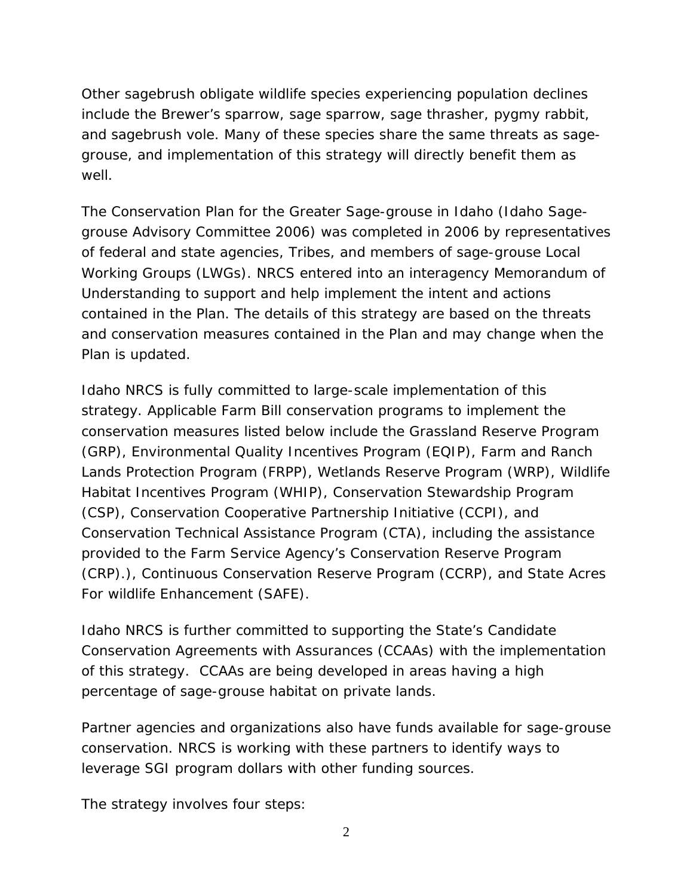Other sagebrush obligate wildlife species experiencing population declines include the Brewer's sparrow, sage sparrow, sage thrasher, pygmy rabbit, and sagebrush vole. Many of these species share the same threats as sagegrouse, and implementation of this strategy will directly benefit them as well.

The *Conservation Plan for the Greater Sage-grouse in Idaho* (Idaho Sagegrouse Advisory Committee 2006) was completed in 2006 by representatives of federal and state agencies, Tribes, and members of sage-grouse Local Working Groups (LWGs). NRCS entered into an interagency Memorandum of Understanding to support and help implement the intent and actions contained in the Plan. The details of this *s*trategy are based on the threats and conservation measures contained in the Plan and may change when the Plan is updated.

Idaho NRCS is fully committed to large-scale implementation of this *s*trategy*.* Applicable Farm Bill conservation programs to implement the conservation measures listed below include the Grassland Reserve Program (GRP), Environmental Quality Incentives Program (EQIP), Farm and Ranch Lands Protection Program (FRPP), Wetlands Reserve Program (WRP), Wildlife Habitat Incentives Program (WHIP), Conservation Stewardship Program (CSP), Conservation Cooperative Partnership Initiative (CCPI), and Conservation Technical Assistance Program (CTA), including the assistance provided to the Farm Service Agency's Conservation Reserve Program (CRP).), Continuous Conservation Reserve Program (CCRP), and State Acres For wildlife Enhancement (SAFE).

Idaho NRCS is further committed to supporting the State's Candidate Conservation Agreements with Assurances (CCAAs) with the implementation of this strategy. CCAAs are being developed in areas having a high percentage of sage-grouse habitat on private lands.

Partner agencies and organizations also have funds available for sage-grouse conservation. NRCS is working with these partners to identify ways to leverage SGI program dollars with other funding sources.

The strategy involves four steps: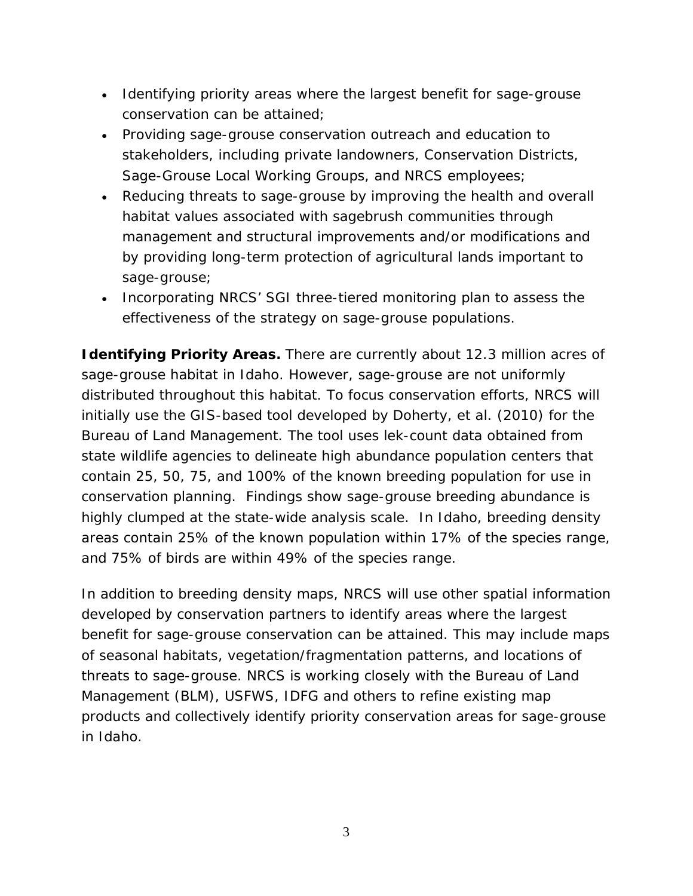- Identifying priority areas where the largest benefit for sage-grouse conservation can be attained;
- Providing sage-grouse conservation outreach and education to stakeholders, including private landowners, Conservation Districts, Sage-Grouse Local Working Groups, and NRCS employees;
- Reducing threats to sage-grouse by improving the health and overall habitat values associated with sagebrush communities through management and structural improvements and/or modifications and by providing long-term protection of agricultural lands important to sage-grouse;
- Incorporating NRCS' SGI three-tiered monitoring plan to assess the effectiveness of the strategy on sage-grouse populations.

**Identifying Priority Areas.** There are currently about 12.3 million acres of sage-grouse habitat in Idaho. However, sage-grouse are not uniformly distributed throughout this habitat. To focus conservation efforts, NRCS will initially use the GIS-based tool developed by Doherty, et al. (2010) for the Bureau of Land Management. The tool uses lek-count data obtained from state wildlife agencies to delineate high abundance population centers that contain 25, 50, 75, and 100% of the known breeding population for use in conservation planning. Findings show sage-grouse breeding abundance is highly clumped at the state-wide analysis scale. In Idaho, breeding density areas contain 25% of the known population within 17% of the species range, and 75% of birds are within 49% of the species range.

In addition to breeding density maps, NRCS will use other spatial information developed by conservation partners to identify areas where the largest benefit for sage-grouse conservation can be attained. This may include maps of seasonal habitats, vegetation/fragmentation patterns, and locations of threats to sage-grouse. NRCS is working closely with the Bureau of Land Management (BLM), USFWS, IDFG and others to refine existing map products and collectively identify priority conservation areas for sage-grouse in Idaho.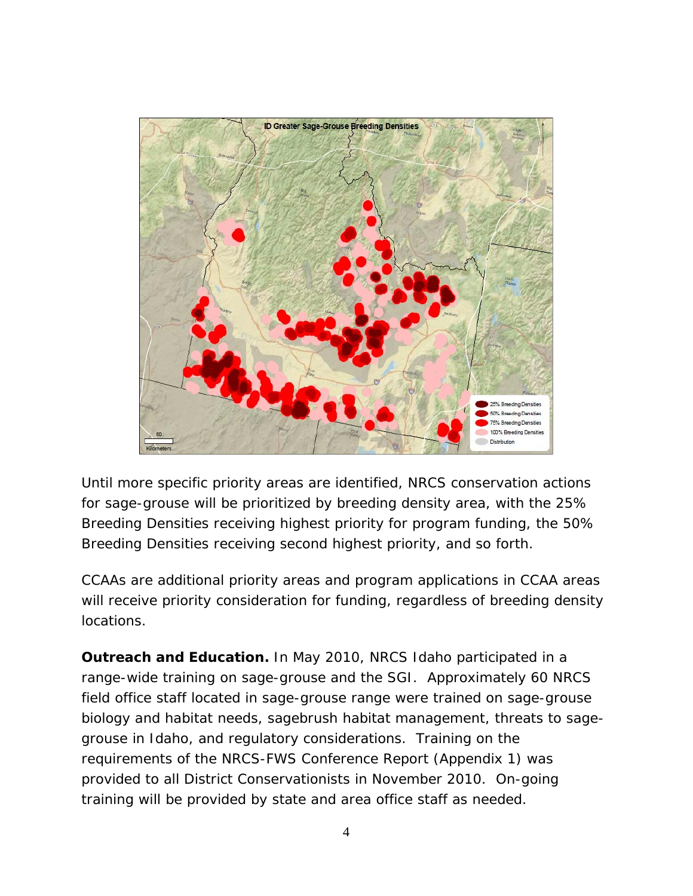

Until more specific priority areas are identified, NRCS conservation actions for sage-grouse will be prioritized by breeding density area, with the 25% Breeding Densities receiving highest priority for program funding, the 50% Breeding Densities receiving second highest priority, and so forth.

CCAAs are additional priority areas and program applications in CCAA areas will receive priority consideration for funding, regardless of breeding density locations.

**Outreach and Education.** In May 2010, NRCS Idaho participated in a range-wide training on sage-grouse and the SGI. Approximately 60 NRCS field office staff located in sage-grouse range were trained on sage-grouse biology and habitat needs, sagebrush habitat management, threats to sagegrouse in Idaho, and regulatory considerations. Training on the requirements of the NRCS-FWS Conference Report (Appendix 1) was provided to all District Conservationists in November 2010. On-going training will be provided by state and area office staff as needed.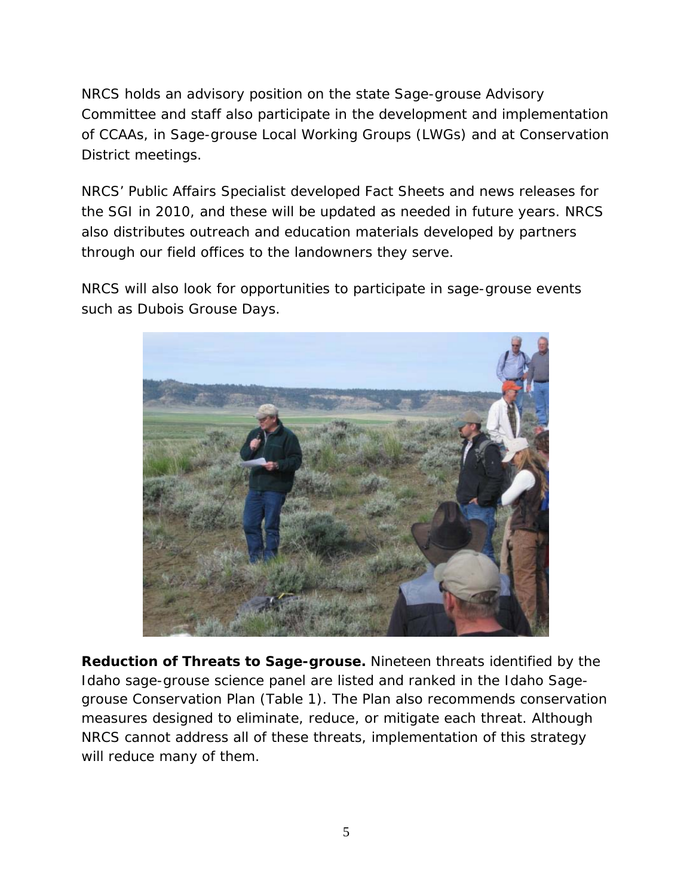NRCS holds an advisory position on the state Sage-grouse Advisory Committee and staff also participate in the development and implementation of CCAAs, in Sage-grouse Local Working Groups (LWGs) and at Conservation District meetings.

NRCS' Public Affairs Specialist developed Fact Sheets and news releases for the SGI in 2010, and these will be updated as needed in future years. NRCS also distributes outreach and education materials developed by partners through our field offices to the landowners they serve.

NRCS will also look for opportunities to participate in sage-grouse events such as Dubois Grouse Days.



**Reduction of Threats to Sage-grouse.** Nineteen threats identified by the Idaho sage-grouse science panel are listed and ranked in the Idaho Sagegrouse Conservation Plan (Table 1). The Plan also recommends conservation measures designed to eliminate, reduce, or mitigate each threat. Although NRCS cannot address all of these threats, implementation of this strategy will reduce many of them.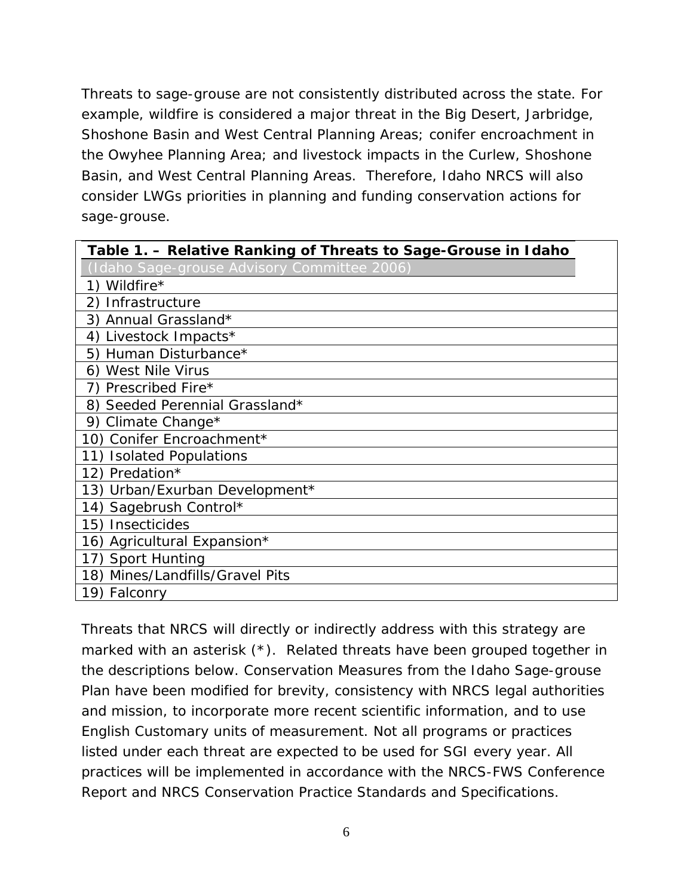Threats to sage-grouse are not consistently distributed across the state. For example, wildfire is considered a major threat in the Big Desert, Jarbridge, Shoshone Basin and West Central Planning Areas; conifer encroachment in the Owyhee Planning Area; and livestock impacts in the Curlew, Shoshone Basin, and West Central Planning Areas. Therefore, Idaho NRCS will also consider LWGs priorities in planning and funding conservation actions for sage-grouse.

| Table 1. – Relative Ranking of Threats to Sage-Grouse in Idaho |
|----------------------------------------------------------------|
| Idaho Sage-grouse Advisory Committee 2006)                     |
| Wildfire*                                                      |
| Infrastructure<br>2)                                           |
| Annual Grassland*<br>3)                                        |
| Livestock Impacts*<br>4)                                       |
| Human Disturbance*<br>5)                                       |
| <b>West Nile Virus</b><br>6)                                   |
| Prescribed Fire*<br>7)                                         |
| Seeded Perennial Grassland*<br>8)                              |
| Climate Change*<br>9)                                          |
| Conifer Encroachment*<br>10)                                   |
| <b>Isolated Populations</b><br>11)                             |
| Predation*<br>12)                                              |
| 13) Urban/Exurban Development*                                 |
| Sagebrush Control*<br>14)                                      |
| 15)<br><b>Insecticides</b>                                     |
| 16) Agricultural Expansion*                                    |
| <b>Sport Hunting</b><br>17)                                    |
| Mines/Landfills/Gravel Pits<br>18)                             |
| 19) Falconry                                                   |

Threats that NRCS will directly or indirectly address with this strategy are marked with an asterisk (\*). Related threats have been grouped together in the descriptions below. Conservation Measures from the Idaho Sage-grouse Plan have been modified for brevity, consistency with NRCS legal authorities and mission, to incorporate more recent scientific information, and to use English Customary units of measurement. Not all programs or practices listed under each threat are expected to be used for SGI every year. All practices will be implemented in accordance with the NRCS-FWS Conference Report and NRCS Conservation Practice Standards and Specifications.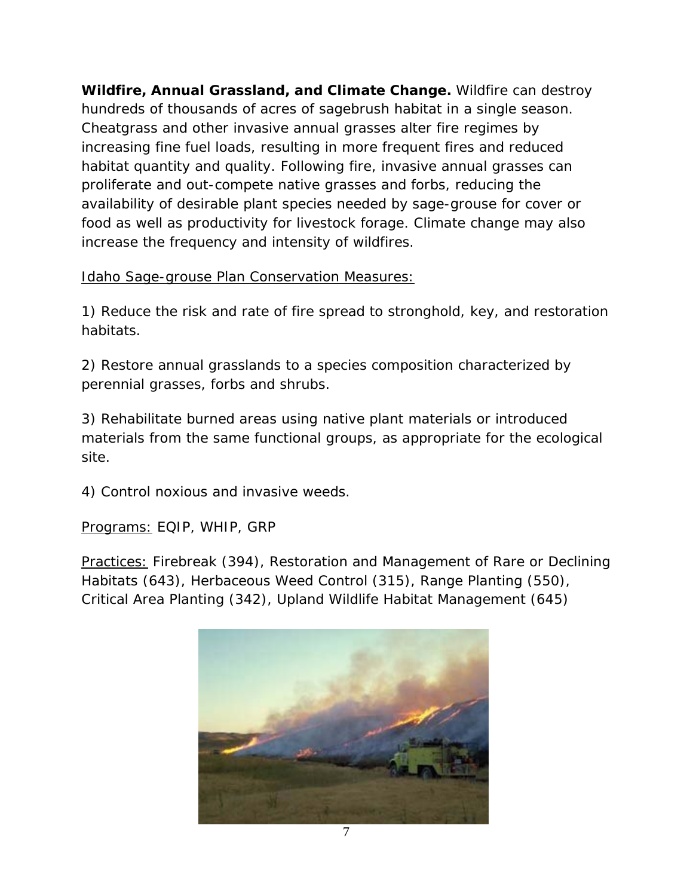**Wildfire, Annual Grassland, and Climate Change.** Wildfire can destroy hundreds of thousands of acres of sagebrush habitat in a single season. Cheatgrass and other invasive annual grasses alter fire regimes by increasing fine fuel loads, resulting in more frequent fires and reduced habitat quantity and quality. Following fire, invasive annual grasses can proliferate and out-compete native grasses and forbs, reducing the availability of desirable plant species needed by sage-grouse for cover or food as well as productivity for livestock forage. Climate change may also increase the frequency and intensity of wildfires.

Idaho Sage-grouse Plan Conservation Measures:

1) Reduce the risk and rate of fire spread to stronghold, key, and restoration habitats.

2) Restore annual grasslands to a species composition characterized by perennial grasses, forbs and shrubs.

3) Rehabilitate burned areas using native plant materials or introduced materials from the same functional groups, as appropriate for the ecological site.

4) Control noxious and invasive weeds.

Programs: EQIP, WHIP, GRP

Practices: Firebreak (394), Restoration and Management of Rare or Declining Habitats (643), Herbaceous Weed Control (315), Range Planting (550), Critical Area Planting (342), Upland Wildlife Habitat Management (645)

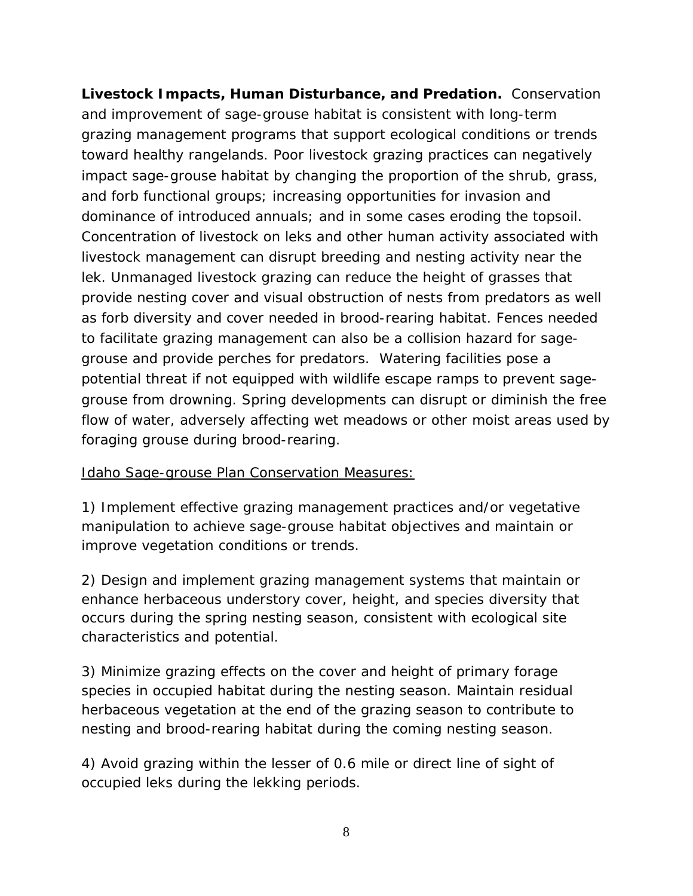**Livestock Impacts, Human Disturbance, and Predation.** Conservation and improvement of sage-grouse habitat is consistent with long-term grazing management programs that support ecological conditions or trends toward healthy rangelands. Poor livestock grazing practices can negatively impact sage-grouse habitat by changing the proportion of the shrub, grass, and forb functional groups; increasing opportunities for invasion and dominance of introduced annuals; and in some cases eroding the topsoil. Concentration of livestock on leks and other human activity associated with livestock management can disrupt breeding and nesting activity near the lek. Unmanaged livestock grazing can reduce the height of grasses that provide nesting cover and visual obstruction of nests from predators as well as forb diversity and cover needed in brood-rearing habitat. Fences needed to facilitate grazing management can also be a collision hazard for sagegrouse and provide perches for predators. Watering facilities pose a potential threat if not equipped with wildlife escape ramps to prevent sagegrouse from drowning. Spring developments can disrupt or diminish the free flow of water, adversely affecting wet meadows or other moist areas used by foraging grouse during brood-rearing.

## Idaho Sage-grouse Plan Conservation Measures:

1) Implement effective grazing management practices and/or vegetative manipulation to achieve sage-grouse habitat objectives and maintain or improve vegetation conditions or trends.

2) Design and implement grazing management systems that maintain or enhance herbaceous understory cover, height, and species diversity that occurs during the spring nesting season, consistent with ecological site characteristics and potential.

3) Minimize grazing effects on the cover and height of primary forage species in occupied habitat during the nesting season. Maintain residual herbaceous vegetation at the end of the grazing season to contribute to nesting and brood-rearing habitat during the coming nesting season.

4) Avoid grazing within the lesser of 0.6 mile or direct line of sight of occupied leks during the lekking periods.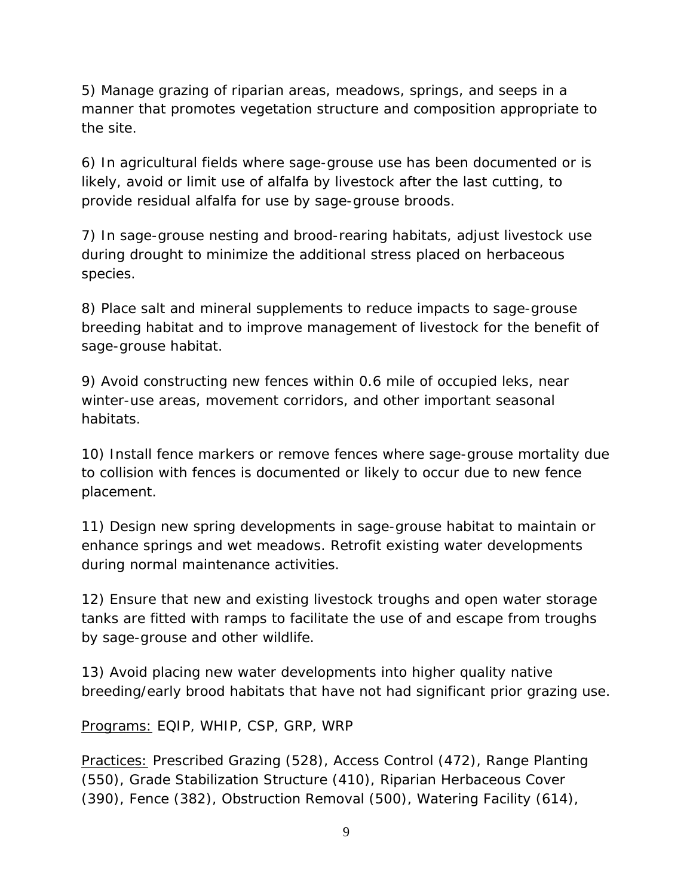5) Manage grazing of riparian areas, meadows, springs, and seeps in a manner that promotes vegetation structure and composition appropriate to the site.

6) In agricultural fields where sage-grouse use has been documented or is likely, avoid or limit use of alfalfa by livestock after the last cutting, to provide residual alfalfa for use by sage-grouse broods.

7) In sage-grouse nesting and brood-rearing habitats, adjust livestock use during drought to minimize the additional stress placed on herbaceous species.

8) Place salt and mineral supplements to reduce impacts to sage-grouse breeding habitat and to improve management of livestock for the benefit of sage-grouse habitat.

9) Avoid constructing new fences within 0.6 mile of occupied leks, near winter-use areas, movement corridors, and other important seasonal habitats.

10) Install fence markers or remove fences where sage-grouse mortality due to collision with fences is documented or likely to occur due to new fence placement.

11) Design new spring developments in sage-grouse habitat to maintain or enhance springs and wet meadows. Retrofit existing water developments during normal maintenance activities.

12) Ensure that new and existing livestock troughs and open water storage tanks are fitted with ramps to facilitate the use of and escape from troughs by sage-grouse and other wildlife.

13) Avoid placing new water developments into higher quality native breeding/early brood habitats that have not had significant prior grazing use.

Programs: EQIP, WHIP, CSP, GRP, WRP

Practices: Prescribed Grazing (528), Access Control (472), Range Planting (550), Grade Stabilization Structure (410), Riparian Herbaceous Cover (390), Fence (382), Obstruction Removal (500), Watering Facility (614),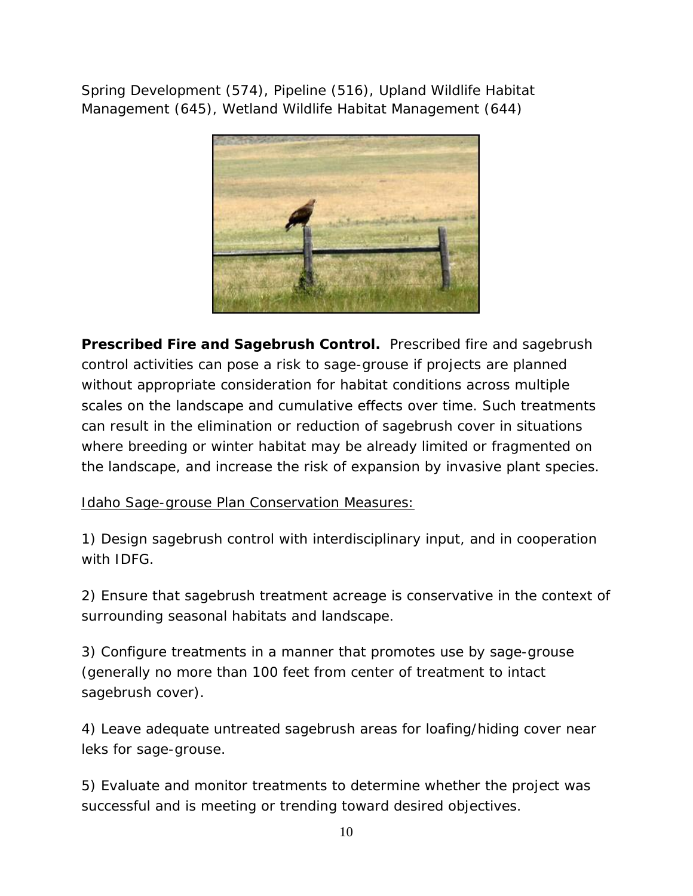Spring Development (574), Pipeline (516), Upland Wildlife Habitat Management (645), Wetland Wildlife Habitat Management (644)



**Prescribed Fire and Sagebrush Control.** Prescribed fire and sagebrush control activities can pose a risk to sage-grouse if projects are planned without appropriate consideration for habitat conditions across multiple scales on the landscape and cumulative effects over time. Such treatments can result in the elimination or reduction of sagebrush cover in situations where breeding or winter habitat may be already limited or fragmented on the landscape, and increase the risk of expansion by invasive plant species.

Idaho Sage-grouse Plan Conservation Measures:

1) Design sagebrush control with interdisciplinary input, and in cooperation with IDFG.

2) Ensure that sagebrush treatment acreage is conservative in the context of surrounding seasonal habitats and landscape.

3) Configure treatments in a manner that promotes use by sage-grouse (generally no more than 100 feet from center of treatment to intact sagebrush cover).

4) Leave adequate untreated sagebrush areas for loafing/hiding cover near leks for sage-grouse.

5) Evaluate and monitor treatments to determine whether the project was successful and is meeting or trending toward desired objectives.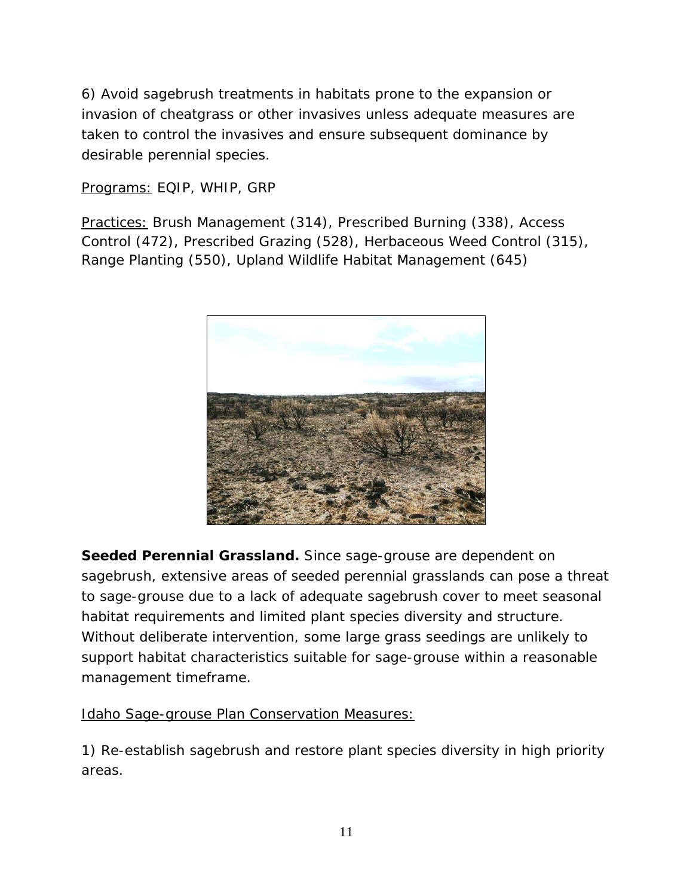6) Avoid sagebrush treatments in habitats prone to the expansion or invasion of cheatgrass or other invasives unless adequate measures are taken to control the invasives and ensure subsequent dominance by desirable perennial species.

Programs: EQIP, WHIP, GRP

Practices: Brush Management (314), Prescribed Burning (338), Access Control (472), Prescribed Grazing (528), Herbaceous Weed Control (315), Range Planting (550), Upland Wildlife Habitat Management (645)



**Seeded Perennial Grassland.** Since sage-grouse are dependent on sagebrush, extensive areas of seeded perennial grasslands can pose a threat to sage-grouse due to a lack of adequate sagebrush cover to meet seasonal habitat requirements and limited plant species diversity and structure. Without deliberate intervention, some large grass seedings are unlikely to support habitat characteristics suitable for sage-grouse within a reasonable management timeframe.

Idaho Sage-grouse Plan Conservation Measures:

1) Re-establish sagebrush and restore plant species diversity in high priority areas.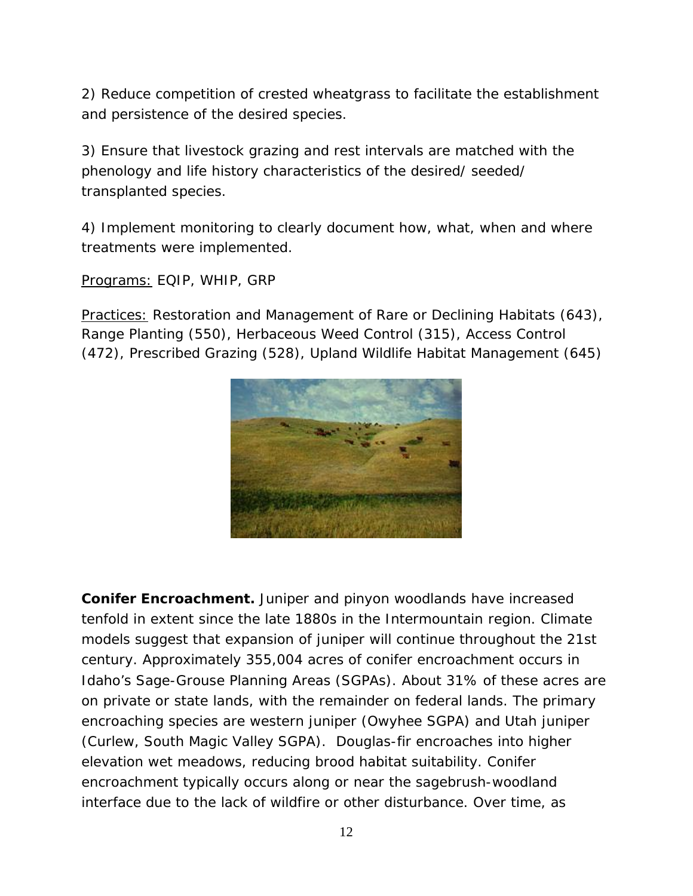2) Reduce competition of crested wheatgrass to facilitate the establishment and persistence of the desired species.

3) Ensure that livestock grazing and rest intervals are matched with the phenology and life history characteristics of the desired/ seeded/ transplanted species.

4) Implement monitoring to clearly document how, what, when and where treatments were implemented.

Programs: EQIP, WHIP, GRP

Practices: Restoration and Management of Rare or Declining Habitats (643), Range Planting (550), Herbaceous Weed Control (315), Access Control (472), Prescribed Grazing (528), Upland Wildlife Habitat Management (645)



**Conifer Encroachment.** Juniper and pinyon woodlands have increased tenfold in extent since the late 1880s in the Intermountain region. Climate models suggest that expansion of juniper will continue throughout the 21st century. Approximately 355,004 acres of conifer encroachment occurs in Idaho's Sage-Grouse Planning Areas (SGPAs). About 31% of these acres are on private or state lands, with the remainder on federal lands. The primary encroaching species are western juniper (Owyhee SGPA) and Utah juniper (Curlew, South Magic Valley SGPA). Douglas-fir encroaches into higher elevation wet meadows, reducing brood habitat suitability. Conifer encroachment typically occurs along or near the sagebrush-woodland interface due to the lack of wildfire or other disturbance. Over time, as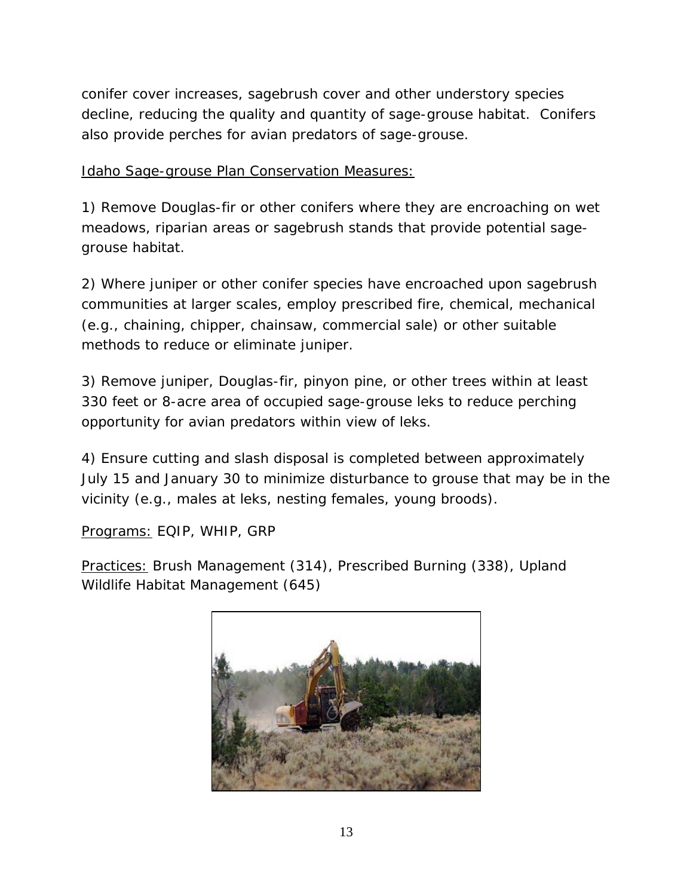conifer cover increases, sagebrush cover and other understory species decline, reducing the quality and quantity of sage-grouse habitat. Conifers also provide perches for avian predators of sage-grouse.

Idaho Sage-grouse Plan Conservation Measures:

1) Remove Douglas-fir or other conifers where they are encroaching on wet meadows, riparian areas or sagebrush stands that provide potential sagegrouse habitat.

2) Where juniper or other conifer species have encroached upon sagebrush communities at larger scales, employ prescribed fire, chemical, mechanical (e.g., chaining, chipper, chainsaw, commercial sale) or other suitable methods to reduce or eliminate juniper.

3) Remove juniper, Douglas-fir, pinyon pine, or other trees within at least 330 feet or 8-acre area of occupied sage-grouse leks to reduce perching opportunity for avian predators within view of leks.

4) Ensure cutting and slash disposal is completed between approximately July 15 and January 30 to minimize disturbance to grouse that may be in the vicinity (e.g., males at leks, nesting females, young broods).

Programs: EQIP, WHIP, GRP

Practices: Brush Management (314), Prescribed Burning (338), Upland Wildlife Habitat Management (645)

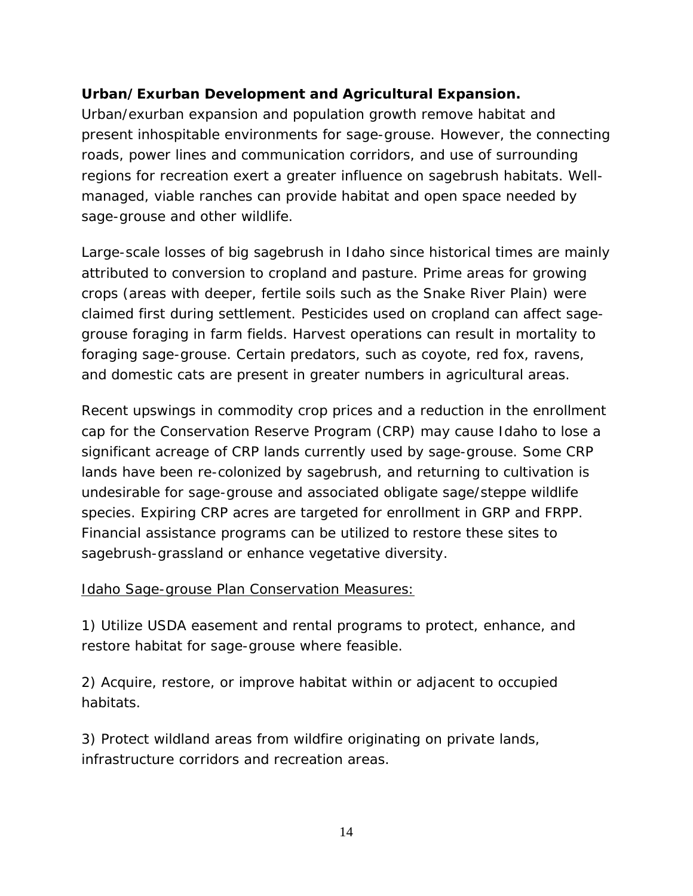# **Urban/Exurban Development and Agricultural Expansion.**

Urban/exurban expansion and population growth remove habitat and present inhospitable environments for sage-grouse. However, the connecting roads, power lines and communication corridors, and use of surrounding regions for recreation exert a greater influence on sagebrush habitats. Wellmanaged, viable ranches can provide habitat and open space needed by sage-grouse and other wildlife.

Large-scale losses of big sagebrush in Idaho since historical times are mainly attributed to conversion to cropland and pasture. Prime areas for growing crops (areas with deeper, fertile soils such as the Snake River Plain) were claimed first during settlement. Pesticides used on cropland can affect sagegrouse foraging in farm fields. Harvest operations can result in mortality to foraging sage-grouse. Certain predators, such as coyote, red fox, ravens, and domestic cats are present in greater numbers in agricultural areas.

Recent upswings in commodity crop prices and a reduction in the enrollment cap for the Conservation Reserve Program (CRP) may cause Idaho to lose a significant acreage of CRP lands currently used by sage-grouse. Some CRP lands have been re-colonized by sagebrush, and returning to cultivation is undesirable for sage-grouse and associated obligate sage/steppe wildlife species. Expiring CRP acres are targeted for enrollment in GRP and FRPP. Financial assistance programs can be utilized to restore these sites to sagebrush-grassland or enhance vegetative diversity.

## Idaho Sage-grouse Plan Conservation Measures:

1) Utilize USDA easement and rental programs to protect, enhance, and restore habitat for sage-grouse where feasible.

2) Acquire, restore, or improve habitat within or adjacent to occupied habitats.

3) Protect wildland areas from wildfire originating on private lands, infrastructure corridors and recreation areas.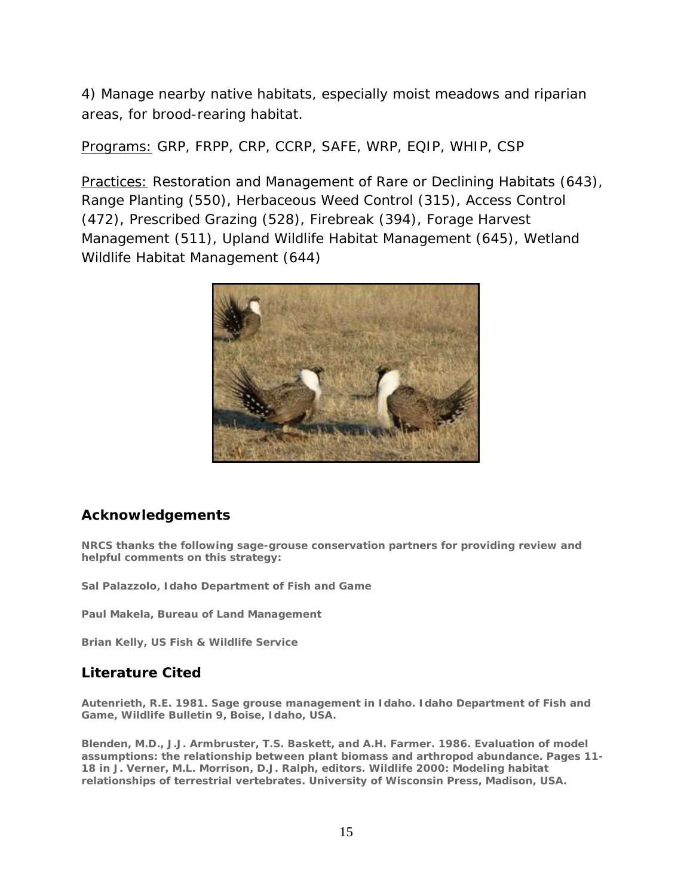4) Manage nearby native habitats, especially moist meadows and riparian areas, for brood-rearing habitat.

Programs: GRP, FRPP, CRP, CCRP, SAFE, WRP, EQIP, WHIP, CSP

Practices: Restoration and Management of Rare or Declining Habitats (643), Range Planting (550), Herbaceous Weed Control (315), Access Control (472), Prescribed Grazing (528), Firebreak (394), Forage Harvest Management (511), Upland Wildlife Habitat Management (645), Wetland Wildlife Habitat Management (644)



## **[Acknowledgements](http://www.mt.nrcs.usda.gov/technical/ecs/biology/sagegrouse/sagegrouse_strategy_attachments/acknowledgements.html)**

**NRCS thanks the following sage-grouse conservation partners for providing review and helpful comments on this strategy:**

**Sal Palazzolo, Idaho Department of Fish and Game**

**Paul Makela, Bureau of Land Management**

**Brian Kelly, US Fish & Wildlife Service**

#### **[Literature Cited](http://www.mt.nrcs.usda.gov/technical/ecs/biology/sagegrouse/sagegrouse_strategy_attachments/literature_cited.html)**

**Autenrieth, R.E. 1981. Sage grouse management in Idaho. Idaho Department of Fish and Game, Wildlife Bulletin 9, Boise, Idaho, USA.**

**Blenden, M.D., J.J. Armbruster, T.S. Baskett, and A.H. Farmer. 1986. Evaluation of model assumptions: the relationship between plant biomass and arthropod abundance. Pages 11- 18 in J. Verner, M.L. Morrison, D.J. Ralph, editors. Wildlife 2000: Modeling habitat relationships of terrestrial vertebrates. University of Wisconsin Press, Madison, USA.**